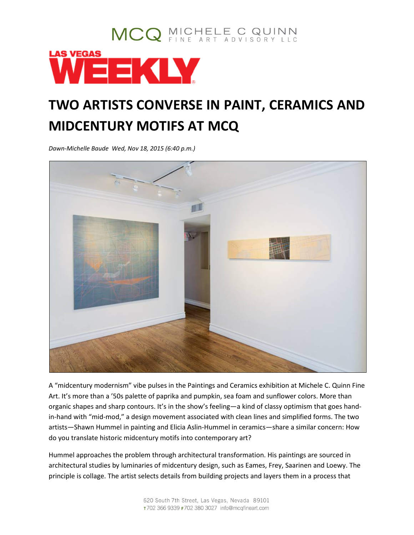## MCQ MICHELE C QUINN WEEKLY

## **TWO ARTISTS CONVERSE IN PAINT, CERAMICS AND MIDCENTURY MOTIFS AT MCQ**

*Dawn-Michelle Baude Wed, Nov 18, 2015 (6:40 p.m.)*



A "midcentury modernism" vibe pulses in the Paintings and Ceramics exhibition at Michele C. Quinn Fine Art. It's more than a '50s palette of paprika and pumpkin, sea foam and sunflower colors. More than organic shapes and sharp contours. It's in the show's feeling—a kind of classy optimism that goes handin-hand with "mid-mod," a design movement associated with clean lines and simplified forms. The two artists—Shawn Hummel in painting and Elicia Aslin-Hummel in ceramics—share a similar concern: How do you translate historic midcentury motifs into contemporary art?

Hummel approaches the problem through architectural transformation. His paintings are sourced in architectural studies by luminaries of midcentury design, such as Eames, Frey, Saarinen and Loewy. The principle is collage. The artist selects details from building projects and layers them in a process that